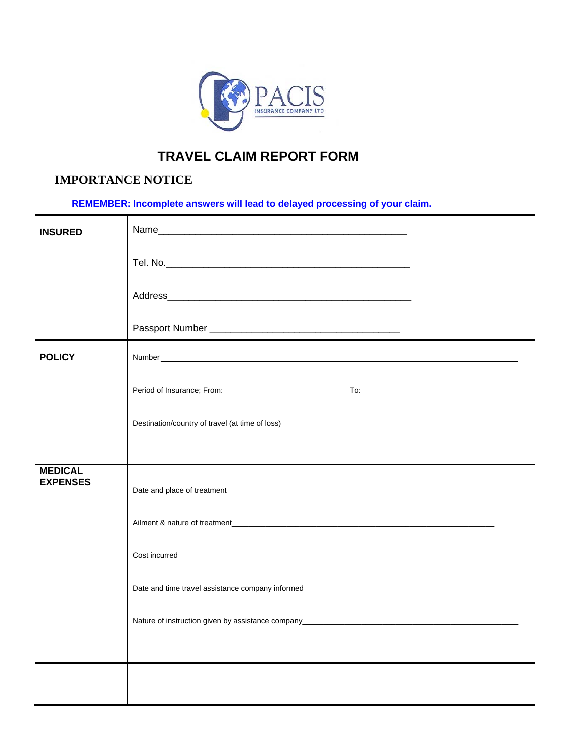

## **TRAVEL CLAIM REPORT FORM**

## **IMPORTANCE NOTICE**

**REMEMBER: Incomplete answers will lead to delayed processing of your claim.** 

| <b>INSURED</b>                    |  |
|-----------------------------------|--|
|                                   |  |
|                                   |  |
|                                   |  |
| <b>POLICY</b>                     |  |
|                                   |  |
|                                   |  |
|                                   |  |
| <b>MEDICAL</b><br><b>EXPENSES</b> |  |
|                                   |  |
|                                   |  |
|                                   |  |
|                                   |  |
|                                   |  |
|                                   |  |
|                                   |  |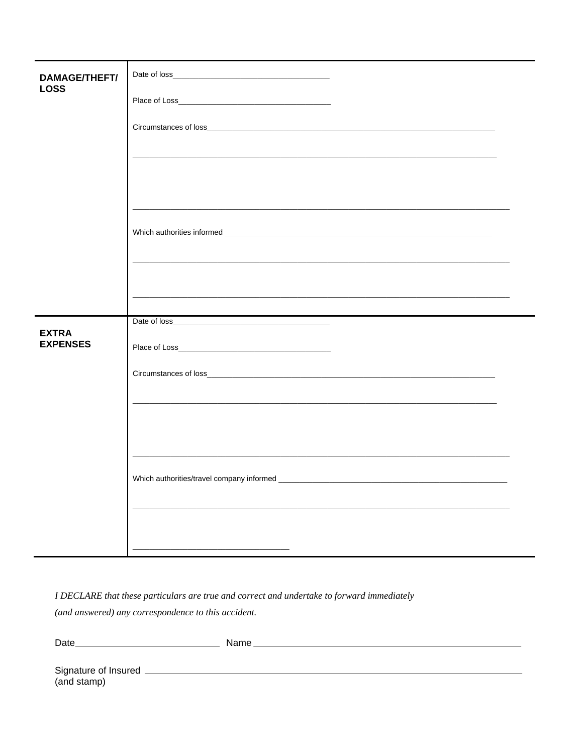| <b>DAMAGE/THEFT/</b><br><b>LOSS</b> |                                                             |
|-------------------------------------|-------------------------------------------------------------|
|                                     |                                                             |
|                                     |                                                             |
|                                     | <u> 1989 - Johann Stoff, amerikansk politiker (d. 1989)</u> |
|                                     |                                                             |
|                                     |                                                             |
|                                     |                                                             |
|                                     |                                                             |
|                                     |                                                             |
|                                     |                                                             |
|                                     |                                                             |
| <b>EXTRA</b><br><b>EXPENSES</b>     |                                                             |
|                                     |                                                             |
|                                     |                                                             |
|                                     |                                                             |
|                                     |                                                             |
|                                     |                                                             |
|                                     |                                                             |
|                                     |                                                             |
|                                     |                                                             |

I DECLARE that these particulars are true and correct and undertake to forward immediately

(and answered) any correspondence to this accident.

| Date.                | Name. |
|----------------------|-------|
|                      |       |
| Signature of Insured |       |
|                      |       |

(and stamp)